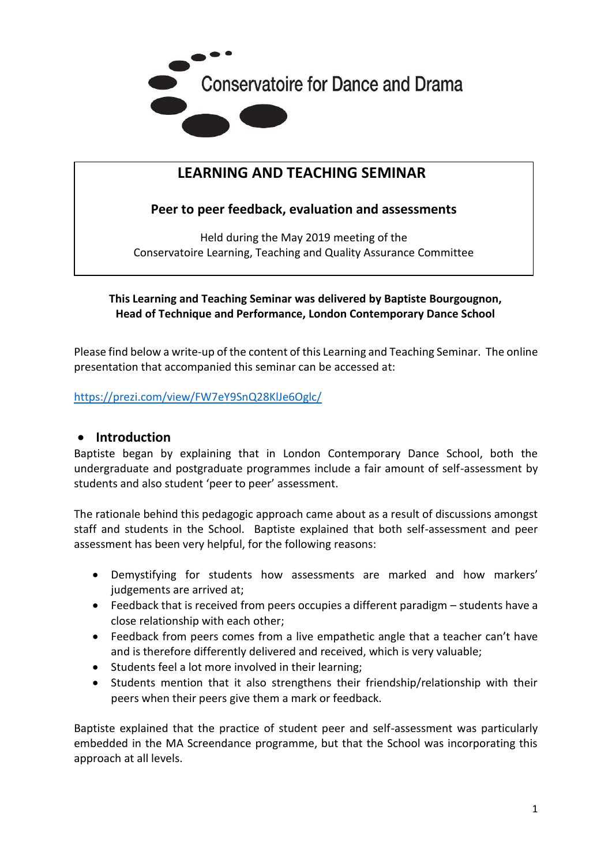

# **LEARNING AND TEACHING SEMINAR**

**Peer to peer feedback, evaluation and assessments**

Held during the May 2019 meeting of the Conservatoire Learning, Teaching and Quality Assurance Committee

### **This Learning and Teaching Seminar was delivered by Baptiste Bourgougnon, Head of Technique and Performance, London Contemporary Dance School**

Please find below a write-up of the content of this Learning and Teaching Seminar. The online presentation that accompanied this seminar can be accessed at:

<https://prezi.com/view/FW7eY9SnQ28KlJe6Oglc/>

#### • **Introduction**

Baptiste began by explaining that in London Contemporary Dance School, both the undergraduate and postgraduate programmes include a fair amount of self-assessment by students and also student 'peer to peer' assessment.

The rationale behind this pedagogic approach came about as a result of discussions amongst staff and students in the School. Baptiste explained that both self-assessment and peer assessment has been very helpful, for the following reasons:

- Demystifying for students how assessments are marked and how markers' judgements are arrived at;
- Feedback that is received from peers occupies a different paradigm students have a close relationship with each other;
- Feedback from peers comes from a live empathetic angle that a teacher can't have and is therefore differently delivered and received, which is very valuable;
- Students feel a lot more involved in their learning;
- Students mention that it also strengthens their friendship/relationship with their peers when their peers give them a mark or feedback.

Baptiste explained that the practice of student peer and self-assessment was particularly embedded in the MA Screendance programme, but that the School was incorporating this approach at all levels.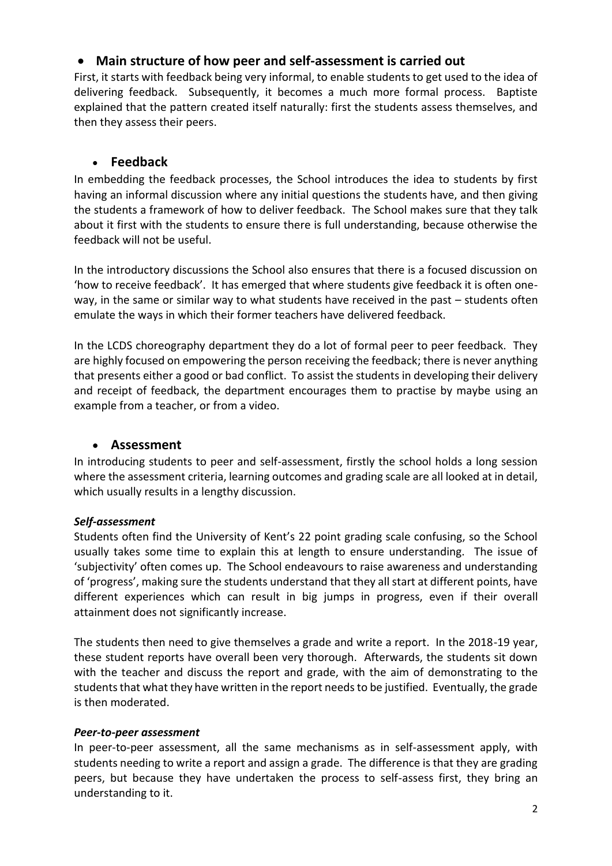## • **Main structure of how peer and self-assessment is carried out**

First, it starts with feedback being very informal, to enable students to get used to the idea of delivering feedback. Subsequently, it becomes a much more formal process. Baptiste explained that the pattern created itself naturally: first the students assess themselves, and then they assess their peers.

## • **Feedback**

In embedding the feedback processes, the School introduces the idea to students by first having an informal discussion where any initial questions the students have, and then giving the students a framework of how to deliver feedback. The School makes sure that they talk about it first with the students to ensure there is full understanding, because otherwise the feedback will not be useful.

In the introductory discussions the School also ensures that there is a focused discussion on 'how to receive feedback'. It has emerged that where students give feedback it is often oneway, in the same or similar way to what students have received in the past – students often emulate the ways in which their former teachers have delivered feedback.

In the LCDS choreography department they do a lot of formal peer to peer feedback. They are highly focused on empowering the person receiving the feedback; there is never anything that presents either a good or bad conflict. To assist the students in developing their delivery and receipt of feedback, the department encourages them to practise by maybe using an example from a teacher, or from a video.

### • **Assessment**

In introducing students to peer and self-assessment, firstly the school holds a long session where the assessment criteria, learning outcomes and grading scale are all looked at in detail, which usually results in a lengthy discussion.

### *Self-assessment*

Students often find the University of Kent's 22 point grading scale confusing, so the School usually takes some time to explain this at length to ensure understanding. The issue of 'subjectivity' often comes up. The School endeavours to raise awareness and understanding of 'progress', making sure the students understand that they all start at different points, have different experiences which can result in big jumps in progress, even if their overall attainment does not significantly increase.

The students then need to give themselves a grade and write a report. In the 2018-19 year, these student reports have overall been very thorough. Afterwards, the students sit down with the teacher and discuss the report and grade, with the aim of demonstrating to the students that what they have written in the report needs to be justified. Eventually, the grade is then moderated.

#### *Peer-to-peer assessment*

In peer-to-peer assessment, all the same mechanisms as in self-assessment apply, with students needing to write a report and assign a grade. The difference is that they are grading peers, but because they have undertaken the process to self-assess first, they bring an understanding to it.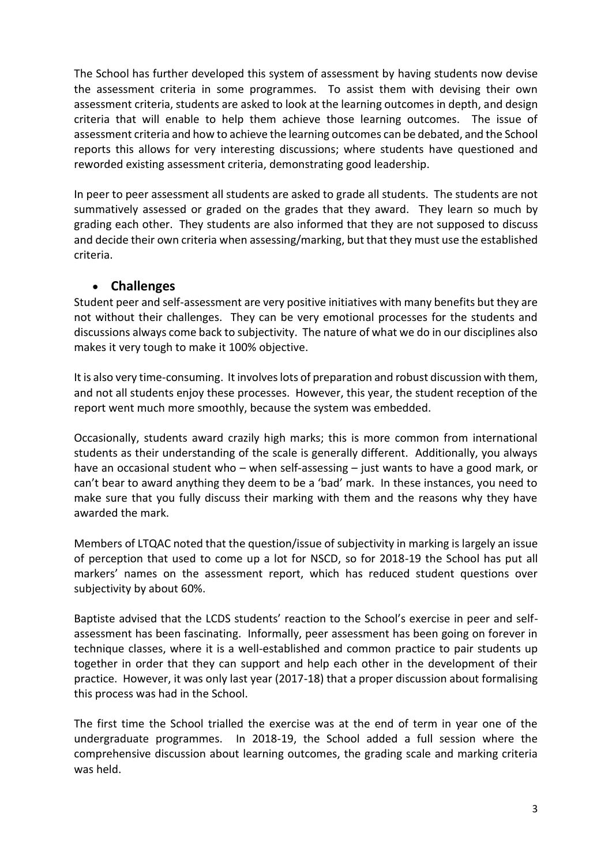The School has further developed this system of assessment by having students now devise the assessment criteria in some programmes. To assist them with devising their own assessment criteria, students are asked to look at the learning outcomes in depth, and design criteria that will enable to help them achieve those learning outcomes. The issue of assessment criteria and how to achieve the learning outcomes can be debated, and the School reports this allows for very interesting discussions; where students have questioned and reworded existing assessment criteria, demonstrating good leadership.

In peer to peer assessment all students are asked to grade all students. The students are not summatively assessed or graded on the grades that they award. They learn so much by grading each other. They students are also informed that they are not supposed to discuss and decide their own criteria when assessing/marking, but that they must use the established criteria.

### • **Challenges**

Student peer and self-assessment are very positive initiatives with many benefits but they are not without their challenges. They can be very emotional processes for the students and discussions always come back to subjectivity. The nature of what we do in our disciplines also makes it very tough to make it 100% objective.

It is also very time-consuming. It involves lots of preparation and robust discussion with them, and not all students enjoy these processes. However, this year, the student reception of the report went much more smoothly, because the system was embedded.

Occasionally, students award crazily high marks; this is more common from international students as their understanding of the scale is generally different. Additionally, you always have an occasional student who – when self-assessing – just wants to have a good mark, or can't bear to award anything they deem to be a 'bad' mark. In these instances, you need to make sure that you fully discuss their marking with them and the reasons why they have awarded the mark.

Members of LTQAC noted that the question/issue of subjectivity in marking is largely an issue of perception that used to come up a lot for NSCD, so for 2018-19 the School has put all markers' names on the assessment report, which has reduced student questions over subjectivity by about 60%.

Baptiste advised that the LCDS students' reaction to the School's exercise in peer and selfassessment has been fascinating. Informally, peer assessment has been going on forever in technique classes, where it is a well-established and common practice to pair students up together in order that they can support and help each other in the development of their practice. However, it was only last year (2017-18) that a proper discussion about formalising this process was had in the School.

The first time the School trialled the exercise was at the end of term in year one of the undergraduate programmes. In 2018-19, the School added a full session where the comprehensive discussion about learning outcomes, the grading scale and marking criteria was held.